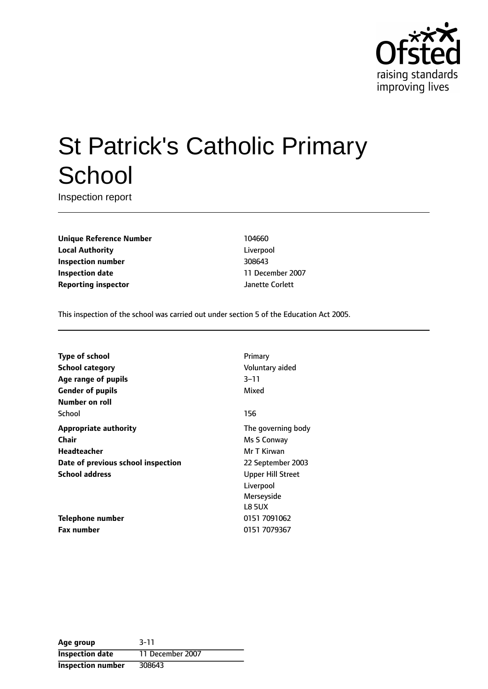

# St Patrick's Catholic Primary **School**

Inspection report

**Unique Reference Number** 104660 **Local Authority** Liverpool **Inspection number** 308643 **Inspection date** 11 December 2007 **Reporting inspector** Janette Corlett

This inspection of the school was carried out under section 5 of the Education Act 2005.

| <b>Type of school</b>                                       | Primary                                                                                   |
|-------------------------------------------------------------|-------------------------------------------------------------------------------------------|
| <b>School category</b>                                      | Voluntary aided                                                                           |
| Age range of pupils                                         | 3–11                                                                                      |
| <b>Gender of pupils</b><br>Number on roll                   | Mixed                                                                                     |
| School                                                      | 156                                                                                       |
| <b>Appropriate authority</b>                                | The governing body                                                                        |
| Chair                                                       | Ms S Conway                                                                               |
| Headteacher                                                 | Mr T Kirwan                                                                               |
| Date of previous school inspection<br><b>School address</b> | 22 September 2003<br><b>Upper Hill Street</b><br>Liverpool<br>Merseyside<br><b>L8 5UX</b> |
| Telephone number                                            | 0151 7091062                                                                              |
| <b>Fax number</b>                                           | 0151 7079367                                                                              |

| Age group                | $3 - 11$         |
|--------------------------|------------------|
| <b>Inspection date</b>   | 11 December 2007 |
| <b>Inspection number</b> | 308643           |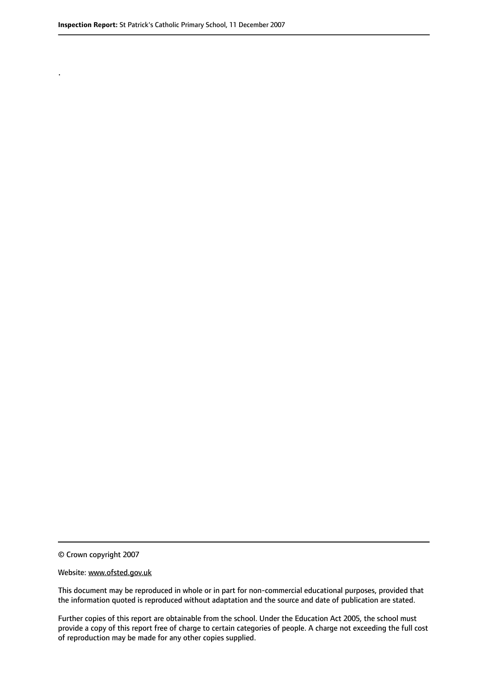.

© Crown copyright 2007

#### Website: www.ofsted.gov.uk

This document may be reproduced in whole or in part for non-commercial educational purposes, provided that the information quoted is reproduced without adaptation and the source and date of publication are stated.

Further copies of this report are obtainable from the school. Under the Education Act 2005, the school must provide a copy of this report free of charge to certain categories of people. A charge not exceeding the full cost of reproduction may be made for any other copies supplied.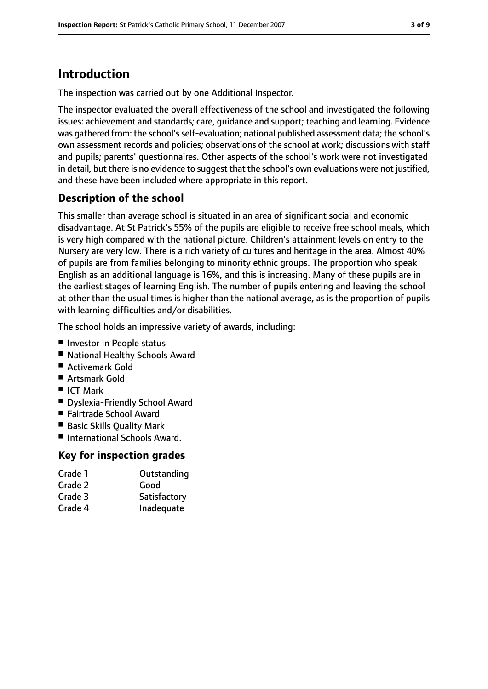# **Introduction**

The inspection was carried out by one Additional Inspector.

The inspector evaluated the overall effectiveness of the school and investigated the following issues: achievement and standards; care, guidance and support; teaching and learning. Evidence was gathered from: the school'sself-evaluation; national published assessment data; the school's own assessment records and policies; observations of the school at work; discussions with staff and pupils; parents' questionnaires. Other aspects of the school's work were not investigated in detail, but there is no evidence to suggest that the school's own evaluations were not justified, and these have been included where appropriate in this report.

#### **Description of the school**

This smaller than average school is situated in an area of significant social and economic disadvantage. At St Patrick's 55% of the pupils are eligible to receive free school meals, which is very high compared with the national picture. Children's attainment levels on entry to the Nursery are very low. There is a rich variety of cultures and heritage in the area. Almost 40% of pupils are from families belonging to minority ethnic groups. The proportion who speak English as an additional language is 16%, and this is increasing. Many of these pupils are in the earliest stages of learning English. The number of pupils entering and leaving the school at other than the usual times is higher than the national average, as is the proportion of pupils with learning difficulties and/or disabilities.

The school holds an impressive variety of awards, including:

- Investor in People status
- National Healthy Schools Award
- Activemark Gold
- Artsmark Gold
- ICT Mark
- Dyslexia-Friendly School Award
- Fairtrade School Award
- Basic Skills Quality Mark
- International Schools Award.

#### **Key for inspection grades**

| Grade 1 | Outstanding  |
|---------|--------------|
| Grade 2 | Good         |
| Grade 3 | Satisfactory |
| Grade 4 | Inadequate   |
|         |              |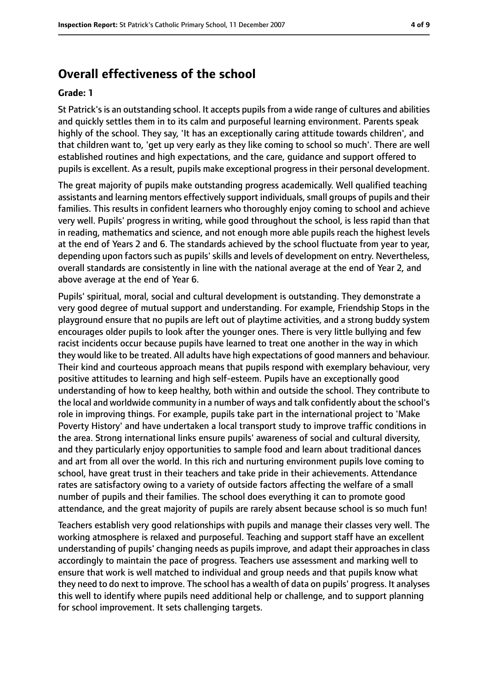### **Overall effectiveness of the school**

#### **Grade: 1**

St Patrick's is an outstanding school. It accepts pupils from a wide range of cultures and abilities and quickly settles them in to its calm and purposeful learning environment. Parents speak highly of the school. They say, 'It has an exceptionally caring attitude towards children', and that children want to, 'get up very early as they like coming to school so much'. There are well established routines and high expectations, and the care, guidance and support offered to pupils is excellent. As a result, pupils make exceptional progress in their personal development.

The great majority of pupils make outstanding progress academically. Well qualified teaching assistants and learning mentors effectively support individuals, small groups of pupils and their families. This results in confident learners who thoroughly enjoy coming to school and achieve very well. Pupils' progress in writing, while good throughout the school, is less rapid than that in reading, mathematics and science, and not enough more able pupils reach the highest levels at the end of Years 2 and 6. The standards achieved by the school fluctuate from year to year, depending upon factors such as pupils' skills and levels of development on entry. Nevertheless, overall standards are consistently in line with the national average at the end of Year 2, and above average at the end of Year 6.

Pupils' spiritual, moral, social and cultural development is outstanding. They demonstrate a very good degree of mutual support and understanding. For example, Friendship Stops in the playground ensure that no pupils are left out of playtime activities, and a strong buddy system encourages older pupils to look after the younger ones. There is very little bullying and few racist incidents occur because pupils have learned to treat one another in the way in which they would like to be treated. All adults have high expectations of good manners and behaviour. Their kind and courteous approach means that pupils respond with exemplary behaviour, very positive attitudes to learning and high self-esteem. Pupils have an exceptionally good understanding of how to keep healthy, both within and outside the school. They contribute to the local and worldwide community in a number of ways and talk confidently about the school's role in improving things. For example, pupils take part in the international project to 'Make Poverty History' and have undertaken a local transport study to improve traffic conditions in the area. Strong international links ensure pupils' awareness of social and cultural diversity, and they particularly enjoy opportunities to sample food and learn about traditional dances and art from all over the world. In this rich and nurturing environment pupils love coming to school, have great trust in their teachers and take pride in their achievements. Attendance rates are satisfactory owing to a variety of outside factors affecting the welfare of a small number of pupils and their families. The school does everything it can to promote good attendance, and the great majority of pupils are rarely absent because school is so much fun!

Teachers establish very good relationships with pupils and manage their classes very well. The working atmosphere is relaxed and purposeful. Teaching and support staff have an excellent understanding of pupils' changing needs as pupils improve, and adapt their approaches in class accordingly to maintain the pace of progress. Teachers use assessment and marking well to ensure that work is well matched to individual and group needs and that pupils know what they need to do next to improve. The school has a wealth of data on pupils' progress. It analyses this well to identify where pupils need additional help or challenge, and to support planning for school improvement. It sets challenging targets.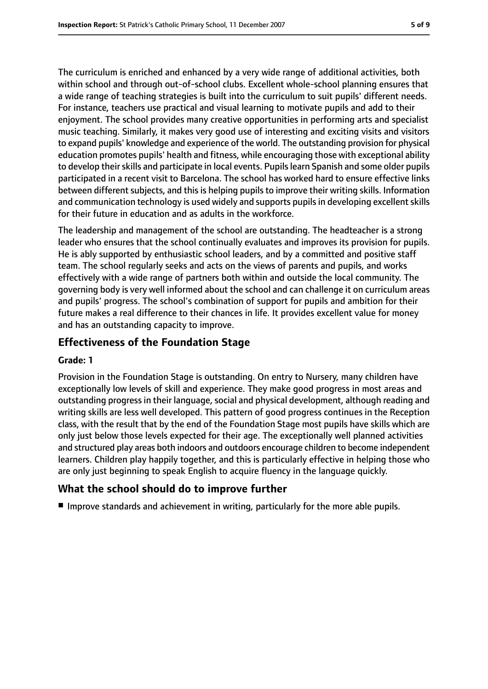The curriculum is enriched and enhanced by a very wide range of additional activities, both within school and through out-of-school clubs. Excellent whole-school planning ensures that a wide range of teaching strategies is built into the curriculum to suit pupils' different needs. For instance, teachers use practical and visual learning to motivate pupils and add to their enjoyment. The school provides many creative opportunities in performing arts and specialist music teaching. Similarly, it makes very good use of interesting and exciting visits and visitors to expand pupils' knowledge and experience of the world. The outstanding provision for physical education promotes pupils' health and fitness, while encouraging those with exceptional ability to develop their skills and participate in local events. Pupils learn Spanish and some older pupils participated in a recent visit to Barcelona. The school has worked hard to ensure effective links between different subjects, and this is helping pupils to improve their writing skills. Information and communication technology is used widely and supports pupils in developing excellent skills for their future in education and as adults in the workforce.

The leadership and management of the school are outstanding. The headteacher is a strong leader who ensures that the school continually evaluates and improves its provision for pupils. He is ably supported by enthusiastic school leaders, and by a committed and positive staff team. The school regularly seeks and acts on the views of parents and pupils, and works effectively with a wide range of partners both within and outside the local community. The governing body is very well informed about the school and can challenge it on curriculum areas and pupils' progress. The school's combination of support for pupils and ambition for their future makes a real difference to their chances in life. It provides excellent value for money and has an outstanding capacity to improve.

#### **Effectiveness of the Foundation Stage**

#### **Grade: 1**

Provision in the Foundation Stage is outstanding. On entry to Nursery, many children have exceptionally low levels of skill and experience. They make good progress in most areas and outstanding progress in their language, social and physical development, although reading and writing skills are less well developed. This pattern of good progress continues in the Reception class, with the result that by the end of the Foundation Stage most pupils have skills which are only just below those levels expected for their age. The exceptionally well planned activities and structured play areas both indoors and outdoors encourage children to become independent learners. Children play happily together, and this is particularly effective in helping those who are only just beginning to speak English to acquire fluency in the language quickly.

#### **What the school should do to improve further**

■ Improve standards and achievement in writing, particularly for the more able pupils.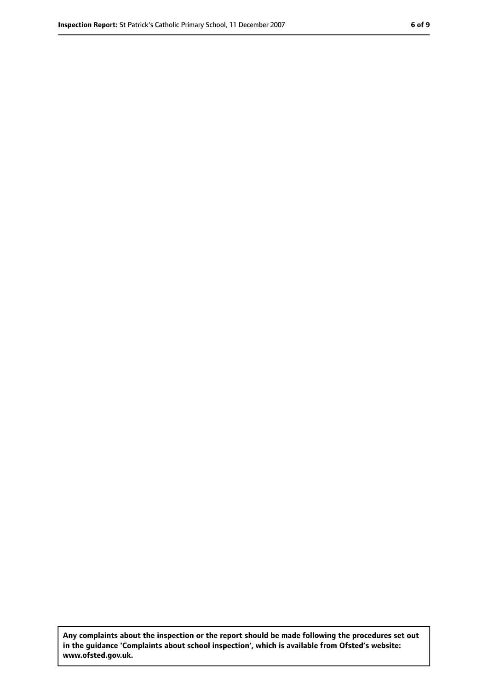**Any complaints about the inspection or the report should be made following the procedures set out in the guidance 'Complaints about school inspection', which is available from Ofsted's website: www.ofsted.gov.uk.**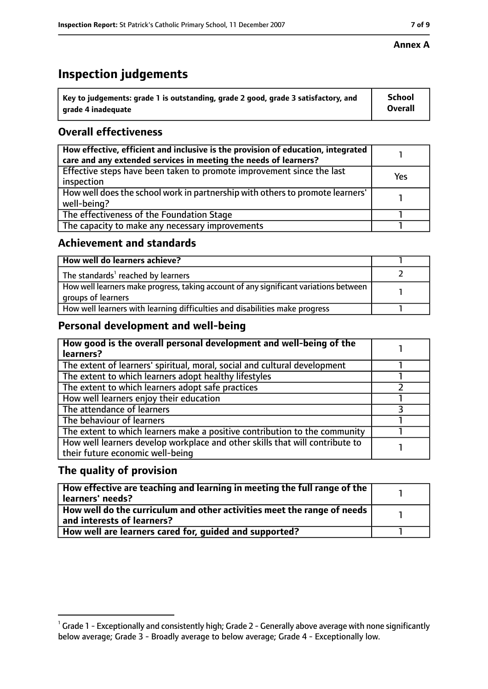## **Inspection judgements**

| $^{\backprime}$ Key to judgements: grade 1 is outstanding, grade 2 good, grade 3 satisfactory, and | <b>School</b>  |
|----------------------------------------------------------------------------------------------------|----------------|
| arade 4 inadequate                                                                                 | <b>Overall</b> |

## **Overall effectiveness**

| How effective, efficient and inclusive is the provision of education, integrated<br>care and any extended services in meeting the needs of learners? |     |
|------------------------------------------------------------------------------------------------------------------------------------------------------|-----|
| Effective steps have been taken to promote improvement since the last<br>inspection                                                                  | Yes |
| How well does the school work in partnership with others to promote learners'<br>well-being?                                                         |     |
| The effectiveness of the Foundation Stage                                                                                                            |     |
| The capacity to make any necessary improvements                                                                                                      |     |

#### **Achievement and standards**

| How well do learners achieve?                                                                               |  |
|-------------------------------------------------------------------------------------------------------------|--|
| The standards <sup>1</sup> reached by learners                                                              |  |
| How well learners make progress, taking account of any significant variations between<br>groups of learners |  |
| How well learners with learning difficulties and disabilities make progress                                 |  |

#### **Personal development and well-being**

| How good is the overall personal development and well-being of the<br>learners?                                  |  |
|------------------------------------------------------------------------------------------------------------------|--|
| The extent of learners' spiritual, moral, social and cultural development                                        |  |
| The extent to which learners adopt healthy lifestyles                                                            |  |
| The extent to which learners adopt safe practices                                                                |  |
| How well learners enjoy their education                                                                          |  |
| The attendance of learners                                                                                       |  |
| The behaviour of learners                                                                                        |  |
| The extent to which learners make a positive contribution to the community                                       |  |
| How well learners develop workplace and other skills that will contribute to<br>their future economic well-being |  |

### **The quality of provision**

| How effective are teaching and learning in meeting the full range of the<br>learners' needs?          |  |
|-------------------------------------------------------------------------------------------------------|--|
| How well do the curriculum and other activities meet the range of needs<br>and interests of learners? |  |
| How well are learners cared for, quided and supported?                                                |  |

#### **Annex A**

 $^1$  Grade 1 - Exceptionally and consistently high; Grade 2 - Generally above average with none significantly below average; Grade 3 - Broadly average to below average; Grade 4 - Exceptionally low.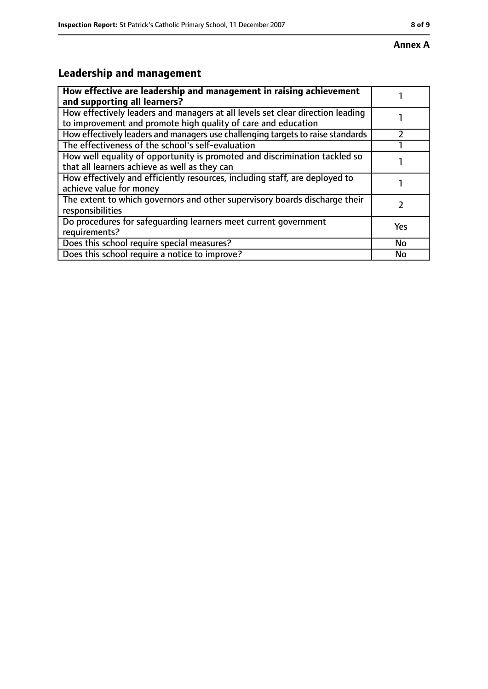## **Leadership and management**

| How effective are leadership and management in raising achievement<br>and supporting all learners?                                              |           |
|-------------------------------------------------------------------------------------------------------------------------------------------------|-----------|
| How effectively leaders and managers at all levels set clear direction leading<br>to improvement and promote high quality of care and education |           |
| How effectively leaders and managers use challenging targets to raise standards                                                                 |           |
| The effectiveness of the school's self-evaluation                                                                                               |           |
| How well equality of opportunity is promoted and discrimination tackled so<br>that all learners achieve as well as they can                     |           |
| How effectively and efficiently resources, including staff, are deployed to<br>achieve value for money                                          |           |
| The extent to which governors and other supervisory boards discharge their<br>responsibilities                                                  |           |
| Do procedures for safequarding learners meet current government<br>requirements?                                                                | Yes       |
| Does this school require special measures?                                                                                                      | <b>No</b> |
| Does this school require a notice to improve?                                                                                                   | No        |